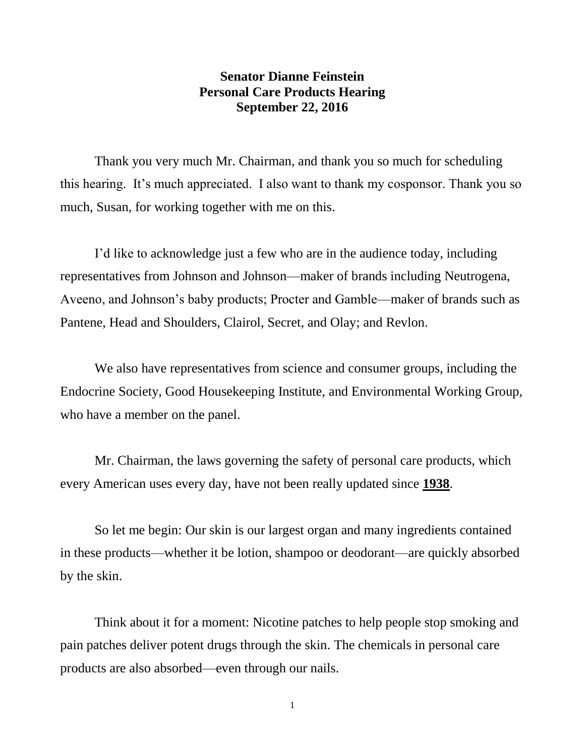## **Senator Dianne Feinstein Personal Care Products Hearing September 22, 2016**

Thank you very much Mr. Chairman, and thank you so much for scheduling this hearing. It's much appreciated. I also want to thank my cosponsor. Thank you so much, Susan, for working together with me on this.

I'd like to acknowledge just a few who are in the audience today, including representatives from Johnson and Johnson—maker of brands including Neutrogena, Aveeno, and Johnson's baby products; Procter and Gamble—maker of brands such as Pantene, Head and Shoulders, Clairol, Secret, and Olay; and Revlon.

We also have representatives from science and consumer groups, including the Endocrine Society, Good Housekeeping Institute, and Environmental Working Group, who have a member on the panel.

Mr. Chairman, the laws governing the safety of personal care products, which every American uses every day, have not been really updated since **1938**.

So let me begin: Our skin is our largest organ and many ingredients contained in these products—whether it be lotion, shampoo or deodorant—are quickly absorbed by the skin.

Think about it for a moment: Nicotine patches to help people stop smoking and pain patches deliver potent drugs through the skin. The chemicals in personal care products are also absorbed—even through our nails.

1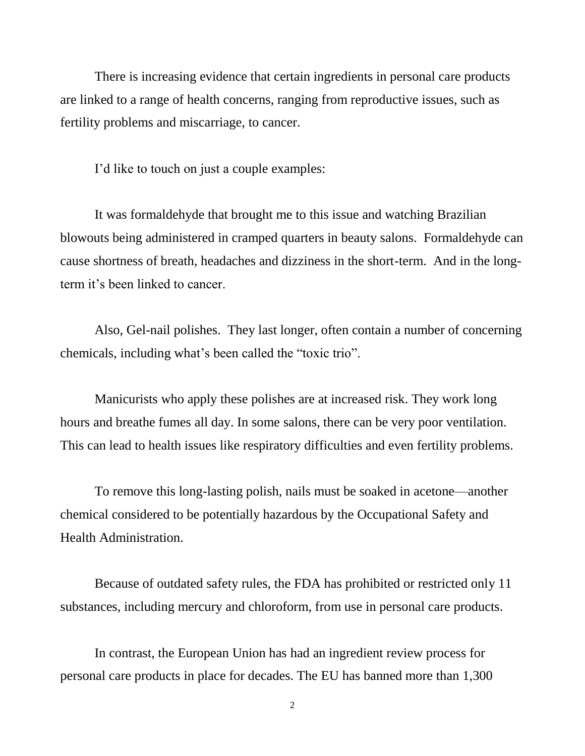There is increasing evidence that certain ingredients in personal care products are linked to a range of health concerns, ranging from reproductive issues, such as fertility problems and miscarriage, to cancer.

I'd like to touch on just a couple examples:

It was formaldehyde that brought me to this issue and watching Brazilian blowouts being administered in cramped quarters in beauty salons. Formaldehyde can cause shortness of breath, headaches and dizziness in the short-term. And in the longterm it's been linked to cancer.

Also, Gel-nail polishes. They last longer, often contain a number of concerning chemicals, including what's been called the "toxic trio".

Manicurists who apply these polishes are at increased risk. They work long hours and breathe fumes all day. In some salons, there can be very poor ventilation. This can lead to health issues like respiratory difficulties and even fertility problems.

To remove this long-lasting polish, nails must be soaked in acetone—another chemical considered to be potentially hazardous by the Occupational Safety and Health Administration.

Because of outdated safety rules, the FDA has prohibited or restricted only 11 substances, including mercury and chloroform, from use in personal care products.

In contrast, the European Union has had an ingredient review process for personal care products in place for decades. The EU has banned more than 1,300

2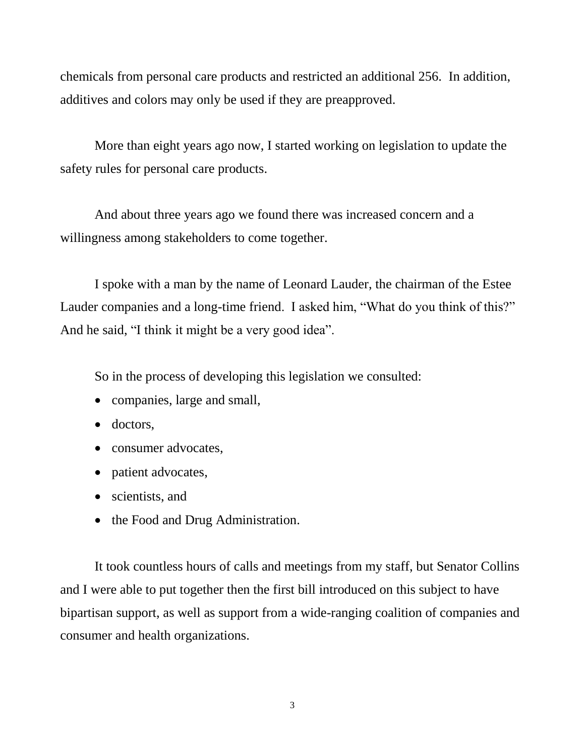chemicals from personal care products and restricted an additional 256. In addition, additives and colors may only be used if they are preapproved.

More than eight years ago now, I started working on legislation to update the safety rules for personal care products.

And about three years ago we found there was increased concern and a willingness among stakeholders to come together.

I spoke with a man by the name of Leonard Lauder, the chairman of the Estee Lauder companies and a long-time friend. I asked him, "What do you think of this?" And he said, "I think it might be a very good idea".

So in the process of developing this legislation we consulted:

- companies, large and small,
- doctors,
- consumer advocates.
- patient advocates,
- scientists, and
- the Food and Drug Administration.

It took countless hours of calls and meetings from my staff, but Senator Collins and I were able to put together then the first bill introduced on this subject to have bipartisan support, as well as support from a wide-ranging coalition of companies and consumer and health organizations.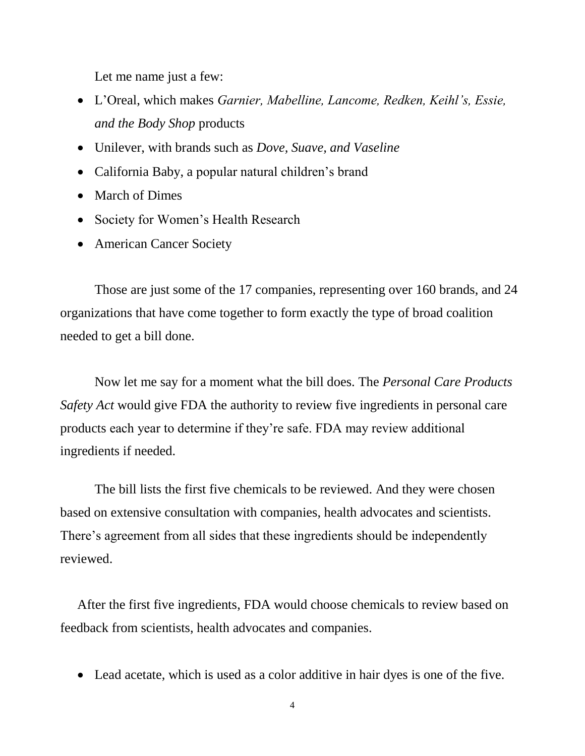Let me name just a few:

- L'Oreal, which makes *Garnier, Mabelline, Lancome, Redken, Keihl's, Essie, and the Body Shop* products
- Unilever, with brands such as *Dove, Suave, and Vaseline*
- California Baby, a popular natural children's brand
- March of Dimes
- Society for Women's Health Research
- American Cancer Society

Those are just some of the 17 companies, representing over 160 brands, and 24 organizations that have come together to form exactly the type of broad coalition needed to get a bill done.

Now let me say for a moment what the bill does. The *Personal Care Products Safety Act* would give FDA the authority to review five ingredients in personal care products each year to determine if they're safe. FDA may review additional ingredients if needed.

The bill lists the first five chemicals to be reviewed. And they were chosen based on extensive consultation with companies, health advocates and scientists. There's agreement from all sides that these ingredients should be independently reviewed.

After the first five ingredients, FDA would choose chemicals to review based on feedback from scientists, health advocates and companies.

Lead acetate, which is used as a color additive in hair dyes is one of the five.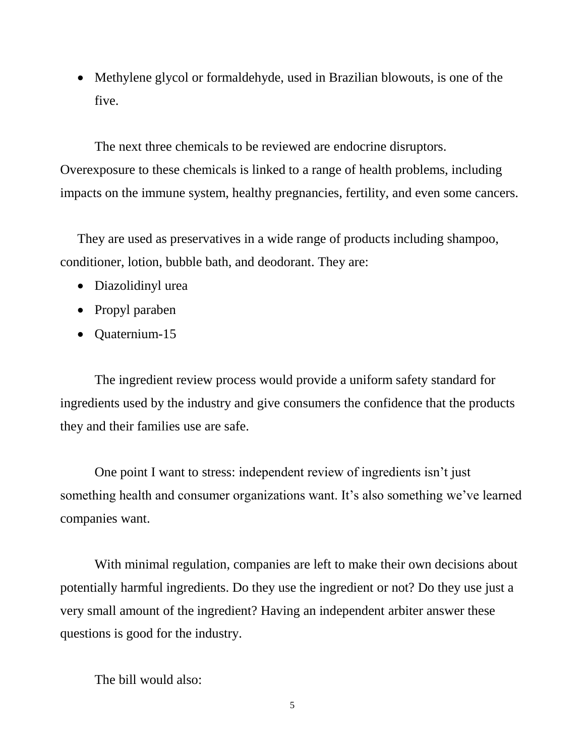• Methylene glycol or formaldehyde, used in Brazilian blowouts, is one of the five.

The next three chemicals to be reviewed are endocrine disruptors. Overexposure to these chemicals is linked to a range of health problems, including impacts on the immune system, healthy pregnancies, fertility, and even some cancers.

They are used as preservatives in a wide range of products including shampoo, conditioner, lotion, bubble bath, and deodorant. They are:

- Diazolidinyl urea
- Propyl paraben
- Quaternium-15

The ingredient review process would provide a uniform safety standard for ingredients used by the industry and give consumers the confidence that the products they and their families use are safe.

One point I want to stress: independent review of ingredients isn't just something health and consumer organizations want. It's also something we've learned companies want.

With minimal regulation, companies are left to make their own decisions about potentially harmful ingredients. Do they use the ingredient or not? Do they use just a very small amount of the ingredient? Having an independent arbiter answer these questions is good for the industry.

The bill would also:

5